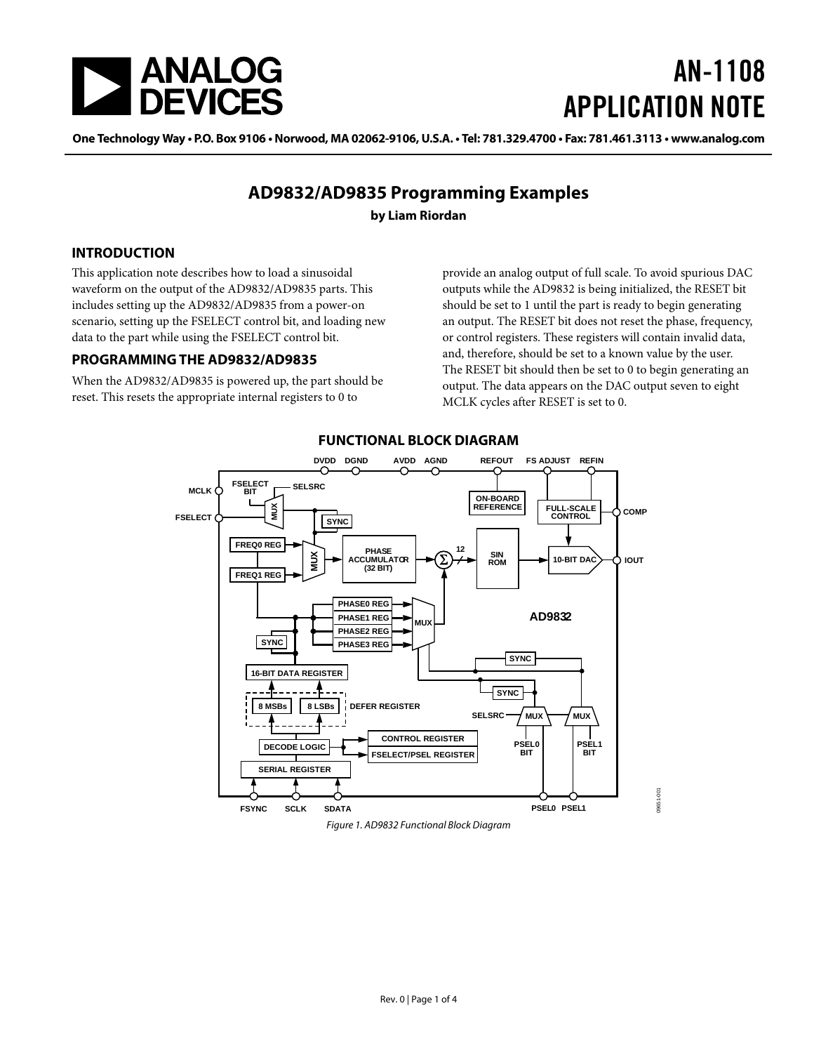<span id="page-0-0"></span>

# AN-1108 APPLICATION NOTE

One Technology Way • P.O. Box 9106 • Norwood, MA 02062-9106, U.S.A. • Tel: 781.329.4700 • Fax: 781.461.3113 • www.analog.com

### **AD9832/AD9835 Programming Examples**

**by Liam Riordan**

#### **INTRODUCTION**

This application note describes how to load a sinusoidal waveform on the output of the AD9832/AD9835 parts. This includes setting up the AD9832/AD9835 from a power-on scenario, setting up the FSELECT control bit, and loading new data to the part while using the FSELECT control bit.

#### **PROGRAMMING THE AD9832/AD9835**

When the AD9832/AD9835 is powered up, the part should be reset. This resets the appropriate internal registers to 0 to

provide an analog output of full scale. To avoid spurious DAC outputs while the AD9832 is being initialized, the RESET bit should be set to 1 until the part is ready to begin generating an output. The RESET bit does not reset the phase, frequency, or control registers. These registers will contain invalid data, and, therefore, should be set to a known value by the user. The RESET bit should then be set to 0 to begin generating an output. The data appears on the DAC output seven to eight MCLK cycles after RESET is set to 0.



### **FUNCTIONAL BLOCK DIAGRAM**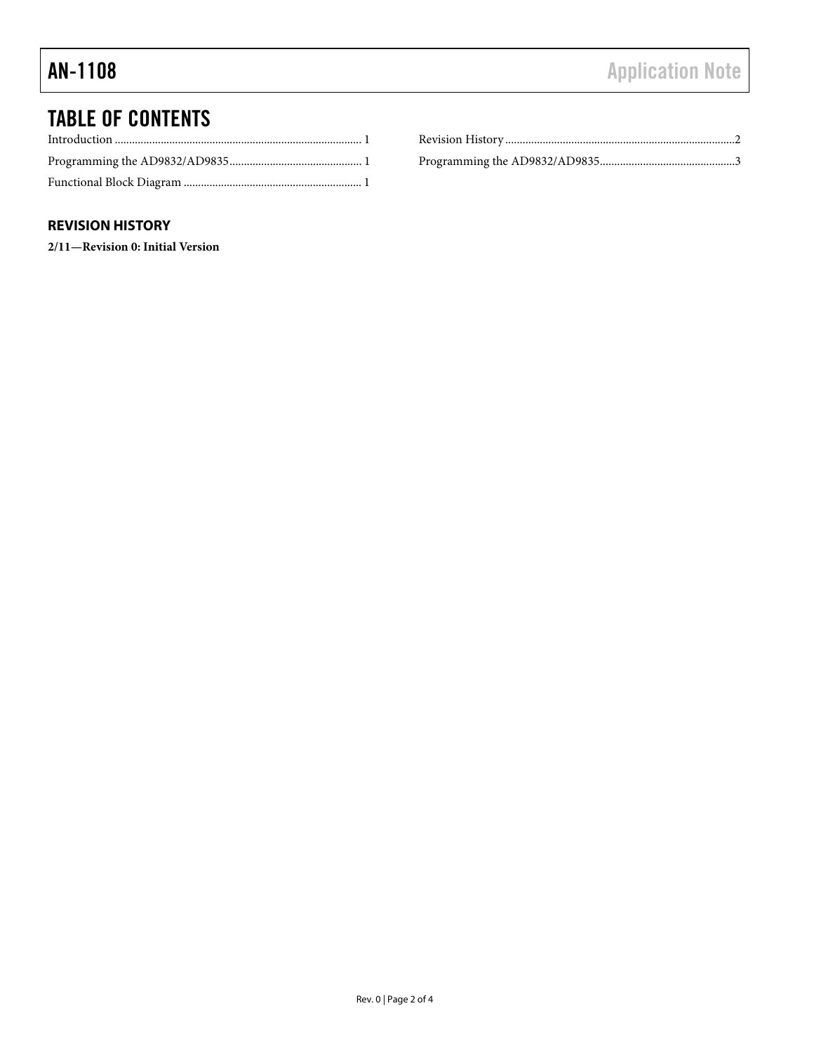## <span id="page-1-0"></span>TABLE OF CONTENTS

### **REVISION HISTORY**

**2/11—Revision 0: Initial Version**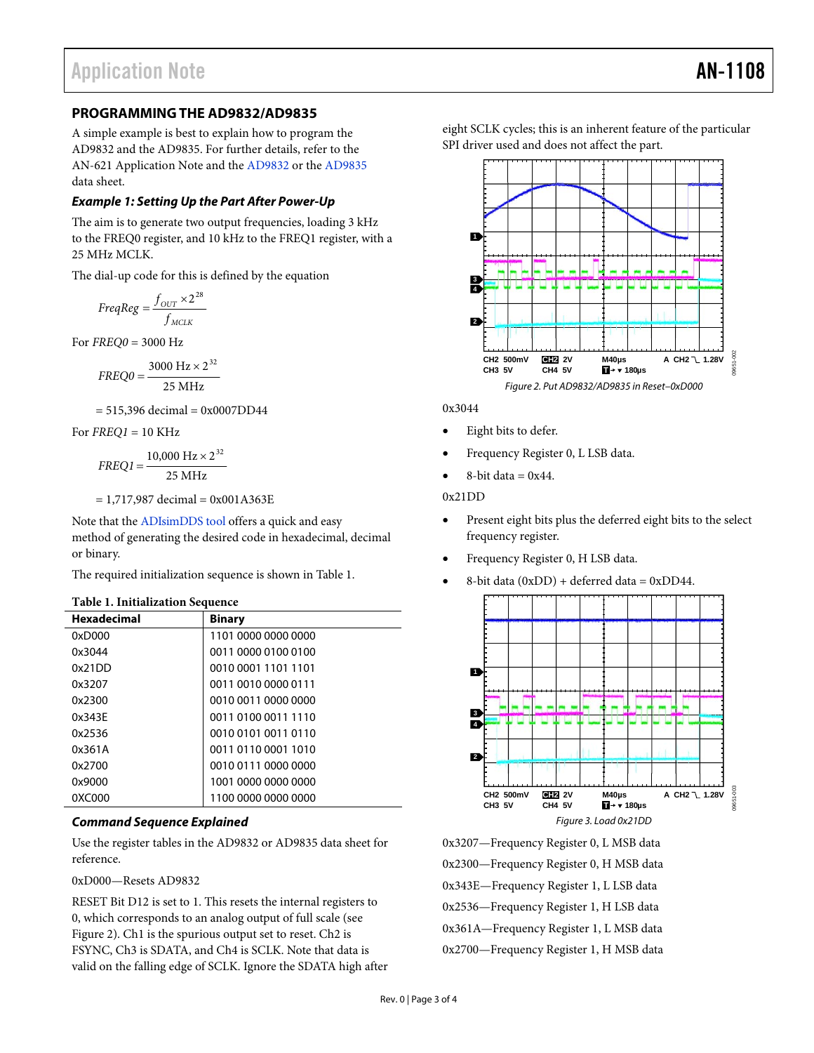#### <span id="page-2-0"></span>**PROGRAMMING THE AD9832/AD9835**

A simple example is best to explain how to program the AD9832 and the AD9835. For further details, refer to the AN-621 Application Note and the [AD9832](http://www.analog.com/AD9832) or the [AD9835](http://www.analog.com/AD9835) data sheet.

#### **Example 1: Setting Up the Part After Power-Up**

The aim is to generate two output frequencies, loading 3 kHz to the FREQ0 register, and 10 kHz to the FREQ1 register, with a 25 MHz MCLK.

The dial-up code for this is defined by the equation

$$
FreqReg = \frac{f_{OUT} \times 2^{28}}{f_{MCLK}}
$$

For *FREQ0* = 3000 Hz

$$
FREQ0 = \frac{3000 \text{ Hz} \times 2^{32}}{25 \text{ MHz}}
$$

 $= 515,396$  decimal  $= 0x0007DD44$ 

<span id="page-2-2"></span>For *FREQ1* = 10 KHz

$$
FREQ1 = \frac{10,000 \text{ Hz} \times 2^{32}}{25 \text{ MHz}}
$$

 $= 1,717,987$  decimal  $= 0x001A363E$ 

Note that the [ADIsimDDS tool](http://designtools.analog.com/dtDDSWeb/dtDDSMain.aspx) offers a quick and easy method of generating the desired code in hexadecimal, decimal or binary.

The required initialization sequence is shown in [Table 1](#page-2-1).

#### **Table 1. Initialization Sequence**

<span id="page-2-1"></span>

| <b>Hexadecimal</b> | <b>Binary</b>       |
|--------------------|---------------------|
| 0xD000             | 1101 0000 0000 0000 |
| 0x3044             | 0011 0000 0100 0100 |
| 0x21DD             | 0010 0001 1101 1101 |
| 0x3207             | 0011 0010 0000 0111 |
| 0x2300             | 0010 0011 0000 0000 |
| 0x343F             | 0011 0100 0011 1110 |
| 0x2536             | 0010 0101 0011 0110 |
| 0x361A             | 0011 0110 0001 1010 |
| 0x2700             | 0010 0111 0000 0000 |
| 0x9000             | 1001 0000 0000 0000 |
| 0XC000             | 1100 0000 0000 0000 |

#### **Command Sequence Explained**

Use the register tables in the [AD9832](http://www.analog.com/AD9832) or [AD9835](http://www.analog.com/AD9835) data sheet for reference.

0xD000—Resets AD9832

RESET Bit D12 is set to 1. This resets the internal registers to 0, which corresponds to an analog output of full scale (see [Figure 2](#page-2-2)). Ch1 is the spurious output set to reset. Ch2 is FSYNC, Ch3 is SDATA, and Ch4 is SCLK. Note that data is valid on the falling edge of SCLK. Ignore the SDATA high after eight SCLK cycles; this is an inherent feature of the particular SPI driver used and does not affect the part.



0x3044

- Eight bits to defer.
- Frequency Register 0, L LSB data.
- $8$ -bit data = 0x44.

#### 0x21DD

- Present eight bits plus the deferred eight bits to the select frequency register.
- Frequency Register 0, H LSB data.
- 8-bit data (0xDD) + deferred data = 0xDD44.



0x3207—Frequency Register 0, L MSB data 0x2300—Frequency Register 0, H MSB data 0x343E—Frequency Register 1, L LSB data 0x2536—Frequency Register 1, H LSB data 0x361A—Frequency Register 1, L MSB data 0x2700—Frequency Register 1, H MSB data